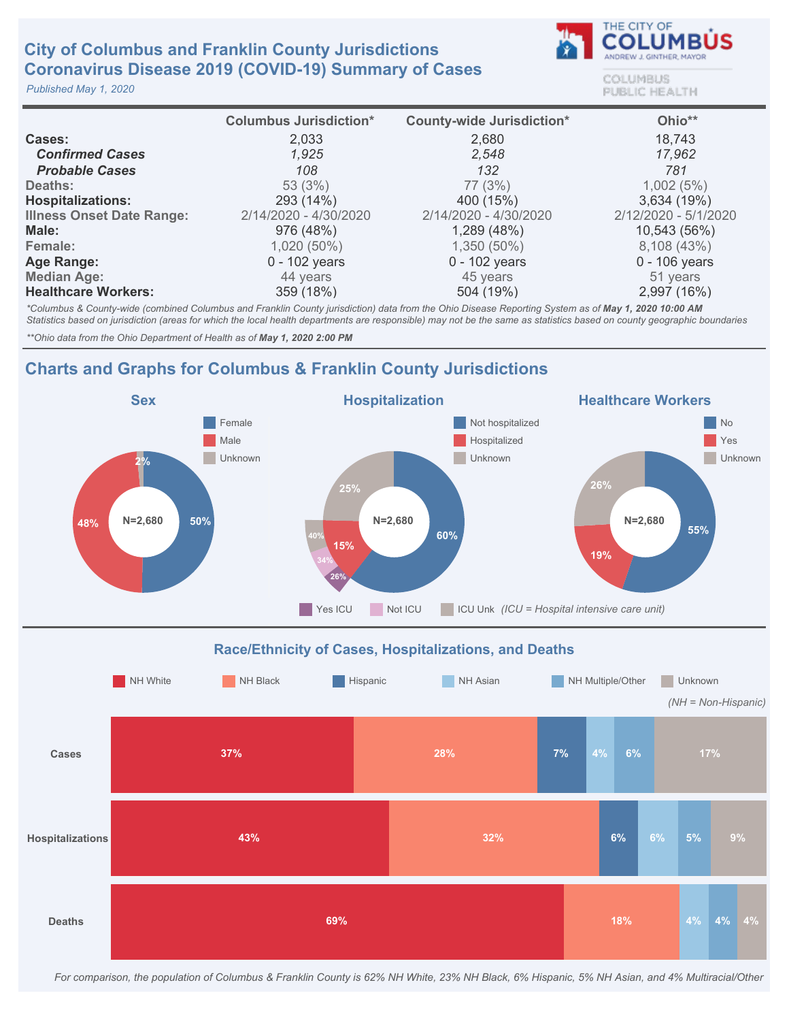# **City of Columbus and Franklin County Jurisdictions** Coronavirus Disease 2019 (COVID-19) Summary of Cases

Published May 1, 2020



**COLUMBUS** PUBLIC HEALTH

|                                  | <b>Columbus Jurisdiction*</b> | <b>County-wide Jurisdiction*</b> | Ohio**               |
|----------------------------------|-------------------------------|----------------------------------|----------------------|
| Cases:                           | 2,033                         | 2,680                            | 18,743               |
| <b>Confirmed Cases</b>           | 1,925                         | 2,548                            | 17,962               |
| <b>Probable Cases</b>            | 108                           | 132                              | 781                  |
| Deaths:                          | 53(3%)                        | 77 (3%)                          | 1,002(5%)            |
| <b>Hospitalizations:</b>         | 293 (14%)                     | 400 (15%)                        | 3,634 (19%)          |
| <b>Illness Onset Date Range:</b> | 2/14/2020 - 4/30/2020         | 2/14/2020 - 4/30/2020            | 2/12/2020 - 5/1/2020 |
| Male:                            | 976 (48%)                     | 1,289 (48%)                      | 10,543 (56%)         |
| Female:                          | 1,020 (50%)                   | $1,350(50\%)$                    | 8,108 (43%)          |
| Age Range:                       | $0 - 102$ years               | $0 - 102$ years                  | $0 - 106$ years      |
| <b>Median Age:</b>               | 44 years                      | 45 years                         | 51 years             |
| <b>Healthcare Workers:</b>       | 359 (18%)                     | 504 (19%)                        | 2,997 (16%)          |

\*Columbus & County-wide (combined Columbus and Franklin County jurisdiction) data from the Ohio Disease Reporting System as of May 1, 2020 10:00 AM Statistics based on jurisdiction (areas for which the local health departments are responsible) may not be the same as statistics based on county geographic boundaries

\*\*Ohio data from the Ohio Department of Health as of May 1, 2020 2:00 PM

## Charts and Graphs for Columbus & Franklin County Jurisdictions





For comparison, the population of Columbus & Franklin County is 62% NH White, 23% NH Black, 6% Hispanic, 5% NH Asian, and 4% Multiracial/Other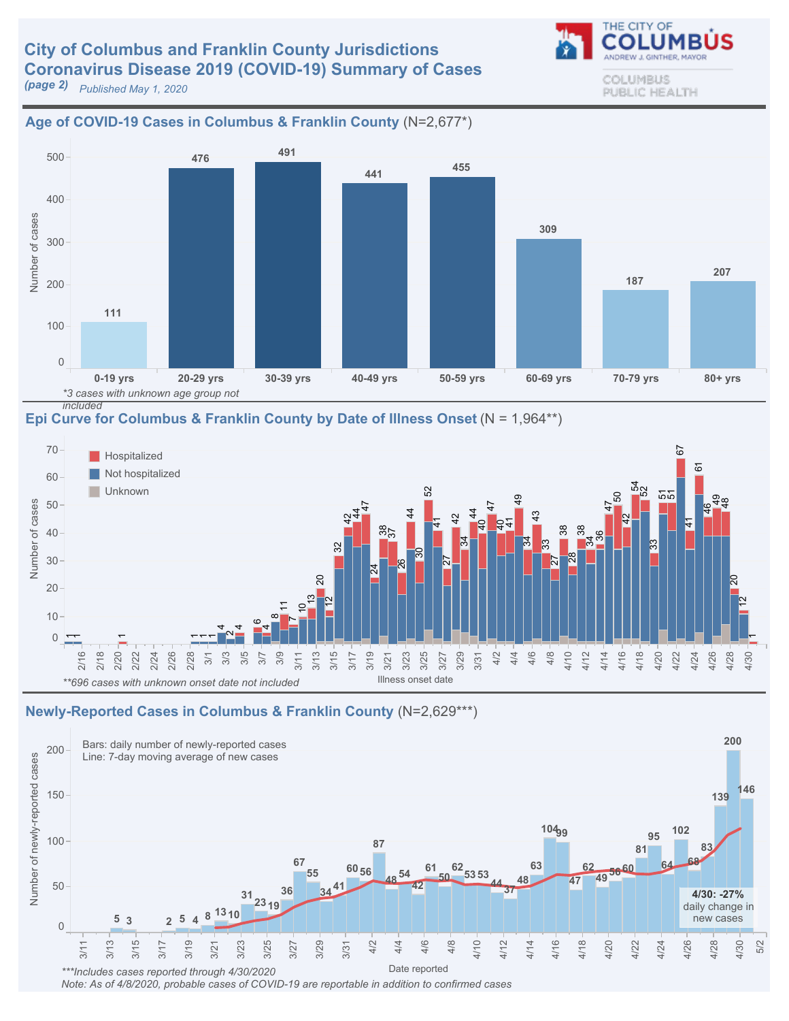# **City of Columbus and Franklin County Jurisdictions** Coronavirus Disease 2019 (COVID-19) Summary of Cases

Age of COVID-19 Cases in Columbus & Franklin County (N=2,677\*)

**(page 2)** Published May 1, 2020

#### 0-19yrs 20-29yrs 30-39yrs 40-49yrs 50-59yrs 60-69yrs 70-79yrs 80+yrs 0 100 200 300 400 500 Number of cases 207 187 309 <sup>455</sup> <sup>441</sup> 476 491 111 \*3 cases with unknown age group not

included

Epi Curve for Columbus & Franklin County by Date of Illness Onset ( $N = 1,964**$ )



### Newly-Reported Cases in Columbus & Franklin County (N=2,629\*\*\*)